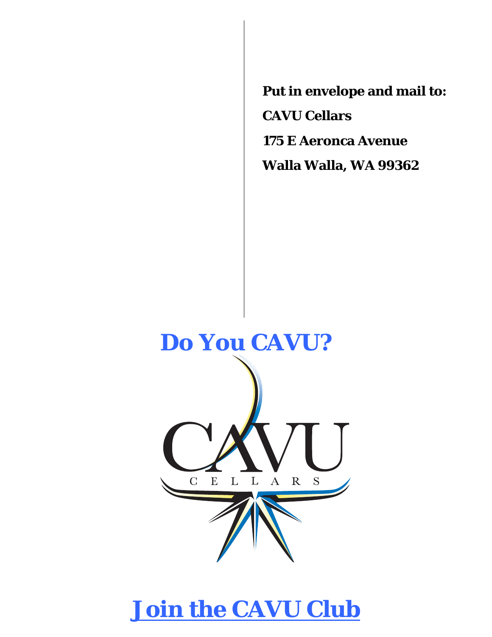**Put in envelope and mail to: CAVU Cellars 175 E Aeronca Avenue Walla Walla, WA 99362** 



# **Join the CAVU Club**